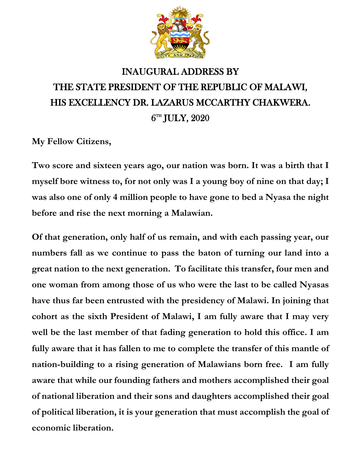

## INAUGURAL ADDRESS BY THE STATE PRESIDENT OF THE REPUBLIC OF MALAWI, HIS EXCELLENCY DR. LAZARUS MCCARTHY CHAKWERA.  $\rm 6^{th}$  JULY,  $\rm 2020$

**My Fellow Citizens,**

**Two score and sixteen years ago, our nation was born. It was a birth that I myself bore witness to, for not only was I a young boy of nine on that day; I was also one of only 4 million people to have gone to bed a Nyasa the night before and rise the next morning a Malawian.**

**Of that generation, only half of us remain, and with each passing year, our numbers fall as we continue to pass the baton of turning our land into a great nation to the next generation. To facilitate this transfer, four men and one woman from among those of us who were the last to be called Nyasas have thus far been entrusted with the presidency of Malawi. In joining that cohort as the sixth President of Malawi, I am fully aware that I may very well be the last member of that fading generation to hold this office. I am fully aware that it has fallen to me to complete the transfer of this mantle of nation-building to a rising generation of Malawians born free. I am fully aware that while our founding fathers and mothers accomplished their goal of national liberation and their sons and daughters accomplished their goal of political liberation, it is your generation that must accomplish the goal of economic liberation.**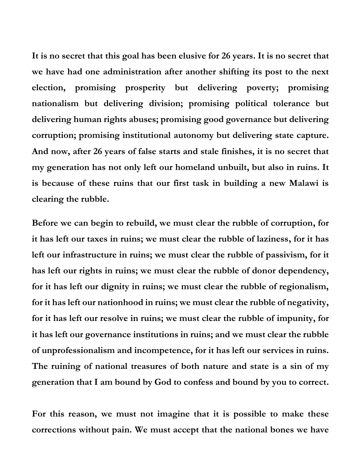**It is no secret that this goal has been elusive for 26 years. It is no secret that we have had one administration after another shifting its post to the next election, promising prosperity but delivering poverty; promising nationalism but delivering division; promising political tolerance but delivering human rights abuses; promising good governance but delivering corruption; promising institutional autonomy but delivering state capture. And now, after 26 years of false starts and stale finishes, it is no secret that my generation has not only left our homeland unbuilt, but also in ruins. It is because of these ruins that our first task in building a new Malawi is clearing the rubble.** 

**Before we can begin to rebuild, we must clear the rubble of corruption, for it has left our taxes in ruins; we must clear the rubble of laziness, for it has left our infrastructure in ruins; we must clear the rubble of passivism, for it has left our rights in ruins; we must clear the rubble of donor dependency, for it has left our dignity in ruins; we must clear the rubble of regionalism, for it has left our nationhood in ruins; we must clear the rubble of negativity, for it has left our resolve in ruins; we must clear the rubble of impunity, for it has left our governance institutions in ruins; and we must clear the rubble of unprofessionalism and incompetence, for it has left our services in ruins. The ruining of national treasures of both nature and state is a sin of my generation that I am bound by God to confess and bound by you to correct.** 

**For this reason, we must not imagine that it is possible to make these corrections without pain. We must accept that the national bones we have**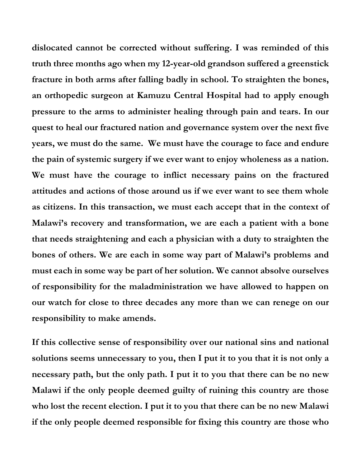**dislocated cannot be corrected without suffering. I was reminded of this truth three months ago when my 12-year-old grandson suffered a greenstick fracture in both arms after falling badly in school. To straighten the bones, an orthopedic surgeon at Kamuzu Central Hospital had to apply enough pressure to the arms to administer healing through pain and tears. In our quest to heal our fractured nation and governance system over the next five years, we must do the same. We must have the courage to face and endure the pain of systemic surgery if we ever want to enjoy wholeness as a nation. We must have the courage to inflict necessary pains on the fractured attitudes and actions of those around us if we ever want to see them whole as citizens. In this transaction, we must each accept that in the context of Malawi's recovery and transformation, we are each a patient with a bone that needs straightening and each a physician with a duty to straighten the bones of others. We are each in some way part of Malawi's problems and must each in some way be part of her solution. We cannot absolve ourselves of responsibility for the maladministration we have allowed to happen on our watch for close to three decades any more than we can renege on our responsibility to make amends.**

**If this collective sense of responsibility over our national sins and national solutions seems unnecessary to you, then I put it to you that it is not only a necessary path, but the only path. I put it to you that there can be no new Malawi if the only people deemed guilty of ruining this country are those who lost the recent election. I put it to you that there can be no new Malawi if the only people deemed responsible for fixing this country are those who**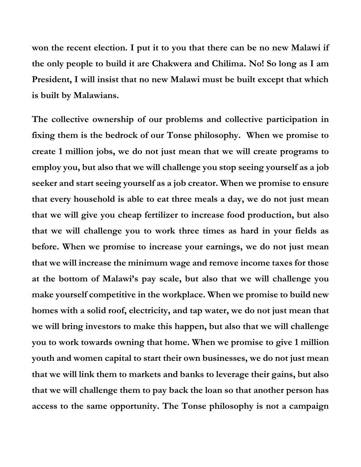**won the recent election. I put it to you that there can be no new Malawi if the only people to build it are Chakwera and Chilima. No! So long as I am President, I will insist that no new Malawi must be built except that which is built by Malawians.** 

**The collective ownership of our problems and collective participation in fixing them is the bedrock of our Tonse philosophy. When we promise to create 1 million jobs, we do not just mean that we will create programs to employ you, but also that we will challenge you stop seeing yourself as a job seeker and start seeing yourself as a job creator. When we promise to ensure that every household is able to eat three meals a day, we do not just mean that we will give you cheap fertilizer to increase food production, but also that we will challenge you to work three times as hard in your fields as before. When we promise to increase your earnings, we do not just mean that we will increase the minimum wage and remove income taxes for those at the bottom of Malawi's pay scale, but also that we will challenge you make yourself competitive in the workplace. When we promise to build new homes with a solid roof, electricity, and tap water, we do not just mean that we will bring investors to make this happen, but also that we will challenge you to work towards owning that home. When we promise to give 1 million youth and women capital to start their own businesses, we do not just mean that we will link them to markets and banks to leverage their gains, but also that we will challenge them to pay back the loan so that another person has access to the same opportunity. The Tonse philosophy is not a campaign**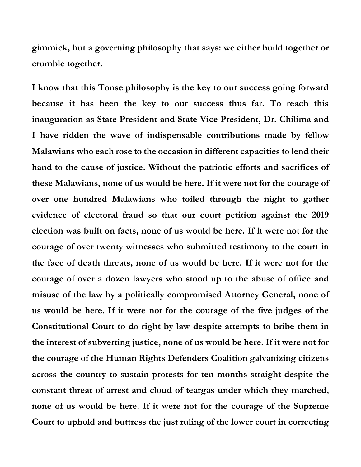**gimmick, but a governing philosophy that says: we either build together or crumble together.**

**I know that this Tonse philosophy is the key to our success going forward because it has been the key to our success thus far. To reach this inauguration as State President and State Vice President, Dr. Chilima and I have ridden the wave of indispensable contributions made by fellow Malawians who each rose to the occasion in different capacities to lend their hand to the cause of justice. Without the patriotic efforts and sacrifices of these Malawians, none of us would be here. If it were not for the courage of over one hundred Malawians who toiled through the night to gather evidence of electoral fraud so that our court petition against the 2019 election was built on facts, none of us would be here. If it were not for the courage of over twenty witnesses who submitted testimony to the court in the face of death threats, none of us would be here. If it were not for the courage of over a dozen lawyers who stood up to the abuse of office and misuse of the law by a politically compromised Attorney General, none of us would be here. If it were not for the courage of the five judges of the Constitutional Court to do right by law despite attempts to bribe them in the interest of subverting justice, none of us would be here. If it were not for the courage of the Human Rights Defenders Coalition galvanizing citizens across the country to sustain protests for ten months straight despite the constant threat of arrest and cloud of teargas under which they marched, none of us would be here. If it were not for the courage of the Supreme Court to uphold and buttress the just ruling of the lower court in correcting**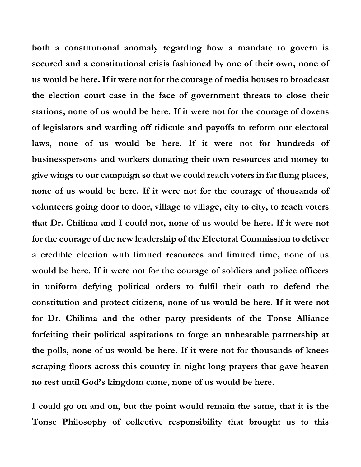**both a constitutional anomaly regarding how a mandate to govern is secured and a constitutional crisis fashioned by one of their own, none of us would be here. If it were not for the courage of media houses to broadcast the election court case in the face of government threats to close their stations, none of us would be here. If it were not for the courage of dozens of legislators and warding off ridicule and payoffs to reform our electoral laws, none of us would be here. If it were not for hundreds of businesspersons and workers donating their own resources and money to give wings to our campaign so that we could reach voters in far flung places, none of us would be here. If it were not for the courage of thousands of volunteers going door to door, village to village, city to city, to reach voters that Dr. Chilima and I could not, none of us would be here. If it were not for the courage of the new leadership of the Electoral Commission to deliver a credible election with limited resources and limited time, none of us would be here. If it were not for the courage of soldiers and police officers in uniform defying political orders to fulfil their oath to defend the constitution and protect citizens, none of us would be here. If it were not for Dr. Chilima and the other party presidents of the Tonse Alliance forfeiting their political aspirations to forge an unbeatable partnership at the polls, none of us would be here. If it were not for thousands of knees scraping floors across this country in night long prayers that gave heaven no rest until God's kingdom came, none of us would be here.**

**I could go on and on, but the point would remain the same, that it is the Tonse Philosophy of collective responsibility that brought us to this**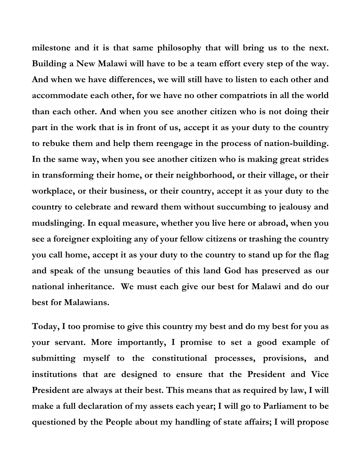**milestone and it is that same philosophy that will bring us to the next. Building a New Malawi will have to be a team effort every step of the way. And when we have differences, we will still have to listen to each other and accommodate each other, for we have no other compatriots in all the world than each other. And when you see another citizen who is not doing their part in the work that is in front of us, accept it as your duty to the country to rebuke them and help them reengage in the process of nation-building. In the same way, when you see another citizen who is making great strides in transforming their home, or their neighborhood, or their village, or their workplace, or their business, or their country, accept it as your duty to the country to celebrate and reward them without succumbing to jealousy and mudslinging. In equal measure, whether you live here or abroad, when you see a foreigner exploiting any of your fellow citizens or trashing the country you call home, accept it as your duty to the country to stand up for the flag and speak of the unsung beauties of this land God has preserved as our national inheritance. We must each give our best for Malawi and do our best for Malawians.**

**Today, I too promise to give this country my best and do my best for you as your servant. More importantly, I promise to set a good example of submitting myself to the constitutional processes, provisions, and institutions that are designed to ensure that the President and Vice President are always at their best. This means that as required by law, I will make a full declaration of my assets each year; I will go to Parliament to be questioned by the People about my handling of state affairs; I will propose**